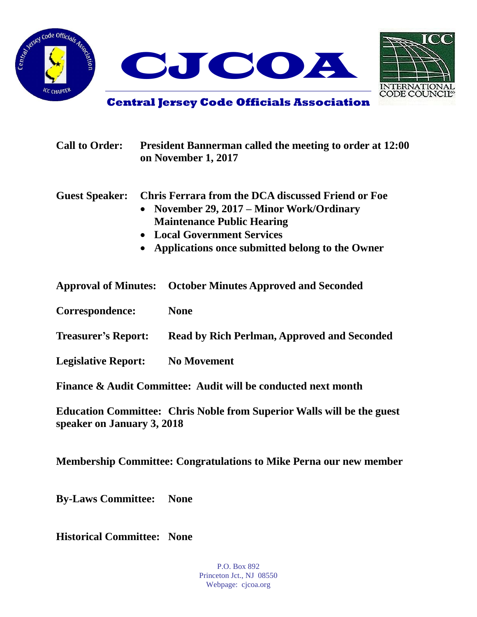





**Central Jersey Code Officials Association**

| <b>Call to Order:</b>       |                        | <b>President Bannerman called the meeting to order at 12:00</b><br>on November 1, 2017                                                                                                                                      |  |
|-----------------------------|------------------------|-----------------------------------------------------------------------------------------------------------------------------------------------------------------------------------------------------------------------------|--|
| <b>Guest Speaker:</b>       | $\bullet$<br>$\bullet$ | <b>Chris Ferrara from the DCA discussed Friend or Foe</b><br>November 29, 2017 – Minor Work/Ordinary<br><b>Maintenance Public Hearing</b><br>• Local Government Services<br>Applications once submitted belong to the Owner |  |
| <b>Approval of Minutes:</b> |                        | <b>October Minutes Approved and Seconded</b>                                                                                                                                                                                |  |
| Correspondence:             |                        | <b>None</b>                                                                                                                                                                                                                 |  |
| <b>Treasurer's Report:</b>  |                        | <b>Read by Rich Perlman, Approved and Seconded</b>                                                                                                                                                                          |  |
| <b>Legislative Report:</b>  |                        | <b>No Movement</b>                                                                                                                                                                                                          |  |
|                             |                        | Finance & Audit Committee: Audit will be conducted next month                                                                                                                                                               |  |

**Education Committee: Chris Noble from Superior Walls will be the guest speaker on January 3, 2018**

**Membership Committee: Congratulations to Mike Perna our new member** 

**By-Laws Committee: None**

**Historical Committee: None**

P.O. Box 892 Princeton Jct., NJ 08550 Webpage: cjcoa.org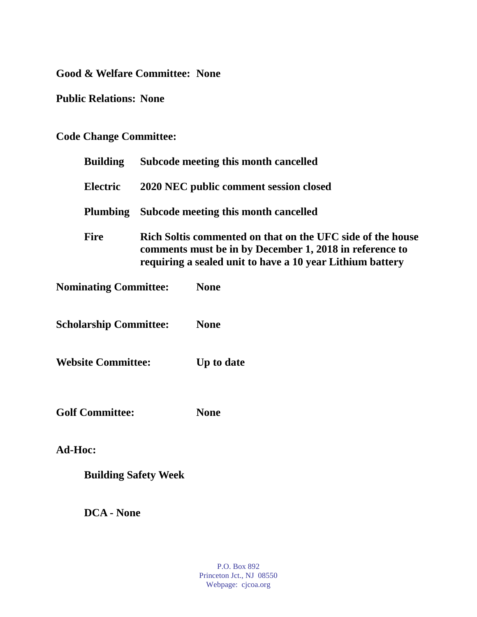**Good & Welfare Committee: None**

**Public Relations: None**

## **Code Change Committee:**

| <b>Building</b>               |                                                                                                                                                                                    | <b>Subcode meeting this month cancelled</b> |  |
|-------------------------------|------------------------------------------------------------------------------------------------------------------------------------------------------------------------------------|---------------------------------------------|--|
| <b>Electric</b>               |                                                                                                                                                                                    | 2020 NEC public comment session closed      |  |
| <b>Plumbing</b>               |                                                                                                                                                                                    | Subcode meeting this month cancelled        |  |
| <b>Fire</b>                   | Rich Soltis commented on that on the UFC side of the house<br>comments must be in by December 1, 2018 in reference to<br>requiring a sealed unit to have a 10 year Lithium battery |                                             |  |
| <b>Nominating Committee:</b>  |                                                                                                                                                                                    | <b>None</b>                                 |  |
| <b>Scholarship Committee:</b> |                                                                                                                                                                                    | <b>None</b>                                 |  |
| <b>Website Committee:</b>     |                                                                                                                                                                                    | Up to date                                  |  |
| <b>Golf Committee:</b>        |                                                                                                                                                                                    | <b>None</b>                                 |  |
| Ad-Hoc:                       |                                                                                                                                                                                    |                                             |  |
| <b>Building Safety Week</b>   |                                                                                                                                                                                    |                                             |  |
|                               |                                                                                                                                                                                    |                                             |  |

**DCA - None**